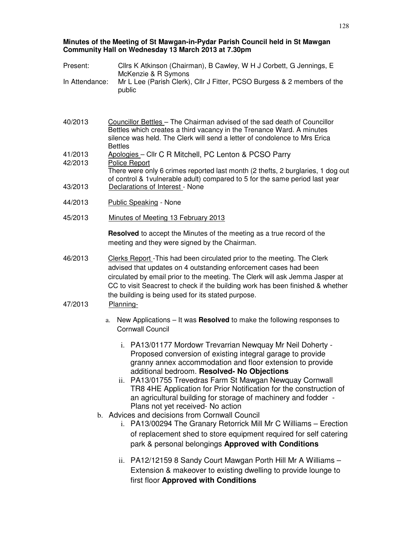#### **Minutes of the Meeting of St Mawgan-in-Pydar Parish Council held in St Mawgan Community Hall on Wednesday 13 March 2013 at 7.30pm**

| Present:           | Cllrs K Atkinson (Chairman), B Cawley, W H J Corbett, G Jennings, E<br>McKenzie & R Symons                                                                                                                                                                                                                                                                                                                                                                                                                                                                                                                                                                                                                                       |  |  |
|--------------------|----------------------------------------------------------------------------------------------------------------------------------------------------------------------------------------------------------------------------------------------------------------------------------------------------------------------------------------------------------------------------------------------------------------------------------------------------------------------------------------------------------------------------------------------------------------------------------------------------------------------------------------------------------------------------------------------------------------------------------|--|--|
| In Attendance:     | Mr L Lee (Parish Clerk), Cllr J Fitter, PCSO Burgess & 2 members of the<br>public                                                                                                                                                                                                                                                                                                                                                                                                                                                                                                                                                                                                                                                |  |  |
| 40/2013            | Councillor Bettles - The Chairman advised of the sad death of Councillor<br>Bettles which creates a third vacancy in the Trenance Ward. A minutes<br>silence was held. The Clerk will send a letter of condolence to Mrs Erica                                                                                                                                                                                                                                                                                                                                                                                                                                                                                                   |  |  |
| 41/2013<br>42/2013 | <b>Bettles</b><br>Apologies - Cllr C R Mitchell, PC Lenton & PCSO Parry                                                                                                                                                                                                                                                                                                                                                                                                                                                                                                                                                                                                                                                          |  |  |
| 43/2013            | <b>Police Report</b><br>There were only 6 crimes reported last month (2 thefts, 2 burglaries, 1 dog out<br>of control & 1 vulnerable adult) compared to 5 for the same period last year<br>Declarations of Interest - None                                                                                                                                                                                                                                                                                                                                                                                                                                                                                                       |  |  |
| 44/2013            | <b>Public Speaking - None</b>                                                                                                                                                                                                                                                                                                                                                                                                                                                                                                                                                                                                                                                                                                    |  |  |
| 45/2013            | Minutes of Meeting 13 February 2013                                                                                                                                                                                                                                                                                                                                                                                                                                                                                                                                                                                                                                                                                              |  |  |
|                    | <b>Resolved</b> to accept the Minutes of the meeting as a true record of the<br>meeting and they were signed by the Chairman.                                                                                                                                                                                                                                                                                                                                                                                                                                                                                                                                                                                                    |  |  |
| 46/2013<br>47/2013 | Clerks Report - This had been circulated prior to the meeting. The Clerk<br>advised that updates on 4 outstanding enforcement cases had been<br>circulated by email prior to the meeting. The Clerk will ask Jemma Jasper at<br>CC to visit Seacrest to check if the building work has been finished & whether<br>the building is being used for its stated purpose.<br>Planning-                                                                                                                                                                                                                                                                                                                                                |  |  |
|                    | New Applications – It was Resolved to make the following responses to<br>a.<br><b>Cornwall Council</b>                                                                                                                                                                                                                                                                                                                                                                                                                                                                                                                                                                                                                           |  |  |
|                    | i. PA13/01177 Mordowr Trevarrian Newquay Mr Neil Doherty -<br>Proposed conversion of existing integral garage to provide<br>granny annex accommodation and floor extension to provide<br>additional bedroom. Resolved- No Objections<br>ii. PA13/01755 Trevedras Farm St Mawgan Newquay Cornwall<br>TR8 4HE Application for Prior Notification for the construction of<br>an agricultural building for storage of machinery and fodder -<br>Plans not yet received- No action<br>b. Advices and decisions from Cornwall Council<br>i. PA13/00294 The Granary Retorrick Mill Mr C Williams - Erection<br>of replacement shed to store equipment required for self catering<br>park & personal belongings Approved with Conditions |  |  |
|                    | ii. PA12/12159 8 Sandy Court Mawgan Porth Hill Mr A Williams -<br>Extension & makeover to existing dwelling to provide lounge to<br>first floor Approved with Conditions                                                                                                                                                                                                                                                                                                                                                                                                                                                                                                                                                         |  |  |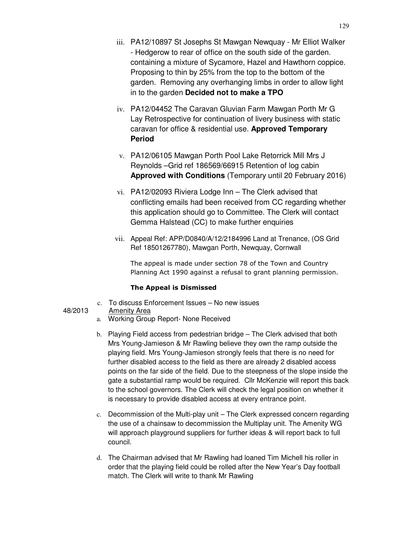- iii. PA12/10897 St Josephs St Mawgan Newquay Mr Elliot Walker - Hedgerow to rear of office on the south side of the garden. containing a mixture of Sycamore, Hazel and Hawthorn coppice. Proposing to thin by 25% from the top to the bottom of the garden. Removing any overhanging limbs in order to allow light in to the garden **Decided not to make a TPO**
- iv. PA12/04452 The Caravan Gluvian Farm Mawgan Porth Mr G Lay Retrospective for continuation of livery business with static caravan for office & residential use. **Approved Temporary Period**
- v. PA12/06105 Mawgan Porth Pool Lake Retorrick Mill Mrs J Reynolds –Grid ref 186569/66915 Retention of log cabin **Approved with Conditions** (Temporary until 20 February 2016)
- vi. PA12/02093 Riviera Lodge Inn The Clerk advised that conflicting emails had been received from CC regarding whether this application should go to Committee. The Clerk will contact Gemma Halstead (CC) to make further enquiries
- vii. Appeal Ref: APP/D0840/A/12/2184996 Land at Trenance, (OS Grid Ref 18501267780), Mawgan Porth, Newquay, Cornwall

The appeal is made under section 78 of the Town and Country Planning Act 1990 against a refusal to grant planning permission.

#### The Appeal is Dismissed

- c. To discuss Enforcement Issues No new issues
- 48/2013 Amenity Area
	- a. Working Group Report- None Received
	- b. Playing Field access from pedestrian bridge The Clerk advised that both Mrs Young-Jamieson & Mr Rawling believe they own the ramp outside the playing field. Mrs Young-Jamieson strongly feels that there is no need for further disabled access to the field as there are already 2 disabled access points on the far side of the field. Due to the steepness of the slope inside the gate a substantial ramp would be required. Cllr McKenzie will report this back to the school governors. The Clerk will check the legal position on whether it is necessary to provide disabled access at every entrance point.
	- c. Decommission of the Multi-play unit The Clerk expressed concern regarding the use of a chainsaw to decommission the Multiplay unit. The Amenity WG will approach playground suppliers for further ideas & will report back to full council.
	- d. The Chairman advised that Mr Rawling had loaned Tim Michell his roller in order that the playing field could be rolled after the New Year's Day football match. The Clerk will write to thank Mr Rawling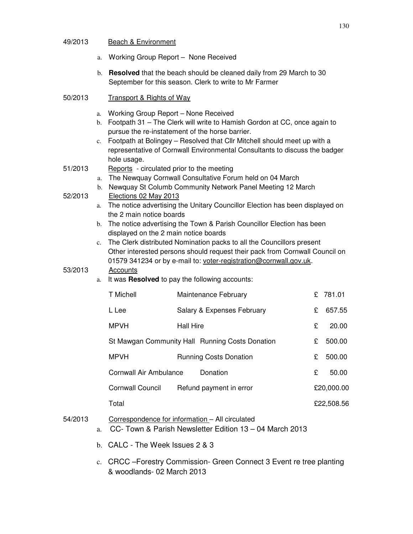### 49/2013 Beach & Environment

- a. Working Group Report None Received
- b. **Resolved** that the beach should be cleaned daily from 29 March to 30 September for this season. Clerk to write to Mr Farmer
- 50/2013 Transport & Rights of Way
	- a. Working Group Report None Received
	- b. Footpath 31 The Clerk will write to Hamish Gordon at CC, once again to pursue the re-instatement of the horse barrier.
	- c. Footpath at Bolingey Resolved that Cllr Mitchell should meet up with a representative of Cornwall Environmental Consultants to discuss the badger hole usage.
- 51/2013 Reports circulated prior to the meeting
	- a. The Newquay Cornwall Consultative Forum held on 04 March
	- b. Newquay St Columb Community Network Panel Meeting 12 March
- 52/2013 Elections 02 May 2013
	- a. The notice advertising the Unitary Councillor Election has been displayed on the 2 main notice boards
	- b. The notice advertising the Town & Parish Councillor Election has been displayed on the 2 main notice boards
	- c. The Clerk distributed Nomination packs to all the Councillors present Other interested persons should request their pack from Cornwall Council on 01579 341234 or by e-mail to: voter-registration@cornwall.gov.uk.

#### 53/2013 Accounts

a. It was **Resolved** to pay the following accounts:

| T Michell                                       | Maintenance February          | £ | 781.01     |
|-------------------------------------------------|-------------------------------|---|------------|
| L Lee                                           | Salary & Expenses February    | £ | 657.55     |
| <b>MPVH</b>                                     | Hall Hire                     | £ | 20.00      |
| St Mawgan Community Hall Running Costs Donation |                               |   | 500.00     |
| <b>MPVH</b>                                     | <b>Running Costs Donation</b> | £ | 500.00     |
| Cornwall Air Ambulance<br>Donation              |                               |   | 50.00      |
| Cornwall Council                                | Refund payment in error       |   | £20,000.00 |
| Total                                           |                               |   | £22,508.56 |

# 54/2013 Correspondence for information – All circulated

- a. CC- Town & Parish Newsletter Edition 13 04 March 2013
- b. CALC The Week Issues 2 & 3
- c. CRCC –Forestry Commission- Green Connect 3 Event re tree planting & woodlands- 02 March 2013